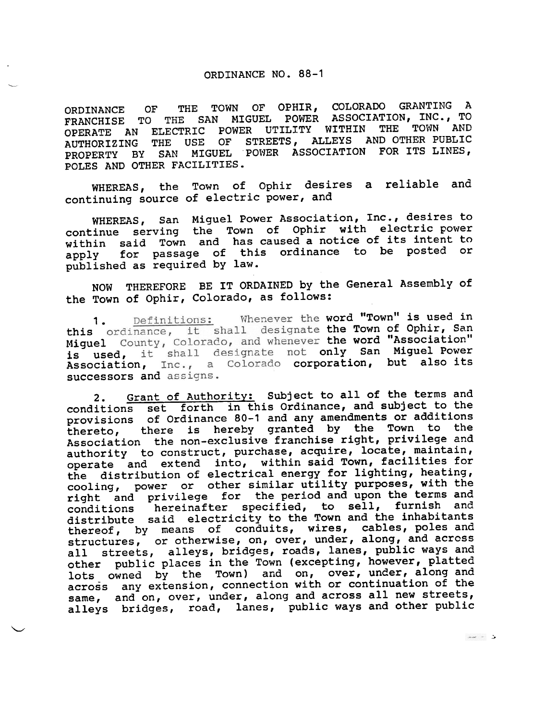## ORDINANCE NO. 88-1

~, u

 $\setminus$ 

ORDINANCE OF THE TOWN OF OPHIR, COLORADO GRANTING A FRANCHISE TO THE SAN MIGUEL POWER ASSOCIATION, INC., TO FRANCHISE TO THE SAN MIGUEL POWER ASSOCIATION, INC., TO<br>OPERATE AN ELECTRIC POWER UTILITY WITHIN THE TOWN AND AUTHORIZING THE USE OF STREETS, ALLEYS AND OTHER PUBLIC PROPERTY BY SAN MIGUEL 'POWER ASSOCIATION FOR ITS LINES, POLES AND OTHER FACILITIES.

WHEREAS, the Town of Ophir desires a reliable and continuing source of electric power, and

WHEREAS, San Miguel Power Association, Inc., desires to continue serving the Town of Ophir with electric power within said Town and has caused a notice of its intent to apply for passage of this ordinance to be posted or published as required by law.

NOW THEREFORE BE IT ORDAINED by the General Assembly of the Town of Ophir, Colorado, as follows:

1 . this ordinance, it shall designate the Town of Ophir, San Miguel County, Colorado, and whenever the word "Association" is used, it shall designate not only San Miguel Power Association, Inc., a Colorado corporation, but also it successors and assigns. Definitions: Whenever the word "Town" is used in

2. Grant of Authority: Subject to all of the terms and conditions set forth in this Ordinance, and subject to the provisions of Ordinance 80-1 and any amendments or additions thereto, there is hereby granted by the Town to the Association the non-exclusive franchise right, privilege and authority to construct, purchase, acquire, locate, maintain, operate and extend into, within said Town, facilities for the distribution of electrical energy for lighting, heating, cooling, power or other similar utility purposes, with the cooling, force the control and upon the terms and right and prevectly. distribute said electricity to the Town and the inhabita thereof, by means of conduits, wires, cables, poles and structures, or otherwise, on, over, under, along, and acros all streets, alleys, bridges, roads, lanes, public ways and other public places in the Town (excepting, however, platted lots owned by the Town) and on, over, under, along and across any extension, connection with or continuation of the same, and on, over, under, along and across all new streets, alleys bridges, road, lanes, public ways and other public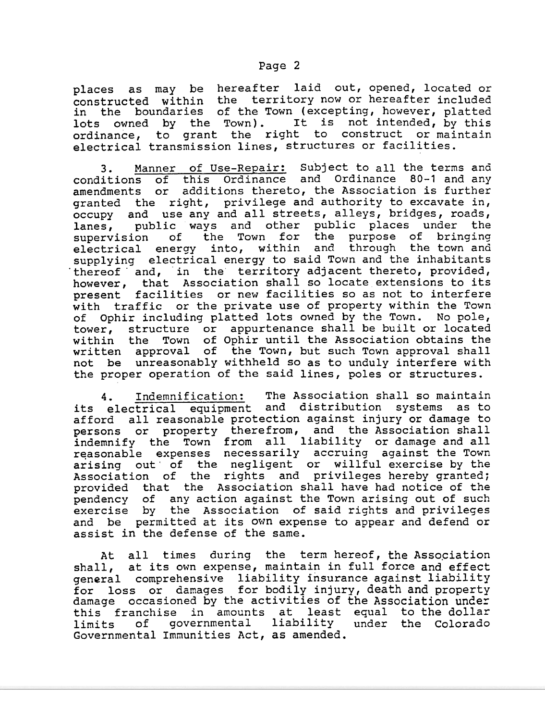places as may be hereafter laid out, opened, located or constructed within the territory now or hereafter includ in the boundaries of the Town (excepting, however, platt lots owned by the Town). It is not intended, by th: ordinance, to grant the right to construct or mainta electrical transmission lines, structures or facili

3. Manner of Use-Repair: Subject to all the terms and conditions of this Ordinance and Ordinance 80-1 and any amendments or additions thereto, the Association is further granted the right, privilege and authority to excavate in, occupy and use any and all streets, alleys, bridges, roads, lanes, public ways and other public places under the<br>supervision of the Town for the purpose of bringing supervision of the Town electrical energy into, within and through the town and supplying electrical energy to said Town and the inhabitants thereof and, in the territory adjacent thereto, provided, however, that Association shall so locate extensions to its present facilities or new facilities so as not to interfere with traffic or the private use of property within the Town of Ophir including platted lots owned by the Town. No pole, tower, structure or appurtenance shall be built or located within the Town of Ophir until the Association obtains th written approval of the Town, but such Town approval sha not be unreasonably withheld so as to unduly interfere wit the proper operation of the said lines, poles or structur

4 its electrical equipment and distribution systems as to afford all reasonable protection against injury or damage to persons or propert indemnify the Town reasonable expenses arising out' of the Association of the provided that the Association shall have had notice of th pendency of any action against the Town arising out of suc exercise by the Association of said rights and privile and be permitted at its own expense to appear and defend or assist in the defense of the same. . Indemnification: The Association shall so maintain therefrom, and the Association shall all liability or damage and a necessarily accruing against the Tow negligent or willful exercise by th rights and privileges hereby grante from

At all times during the term hereof, the Association shall, at its own expense, maintain in full force and effe general comprehensive liability insurance against liabi for loss or damages for bodily injury, death and proper damage occasioned by the activities of the Association unde this franchise in amounts at least equal to the doll limits of governmental liability under the Colorad Governmental Immunities Act, as amended.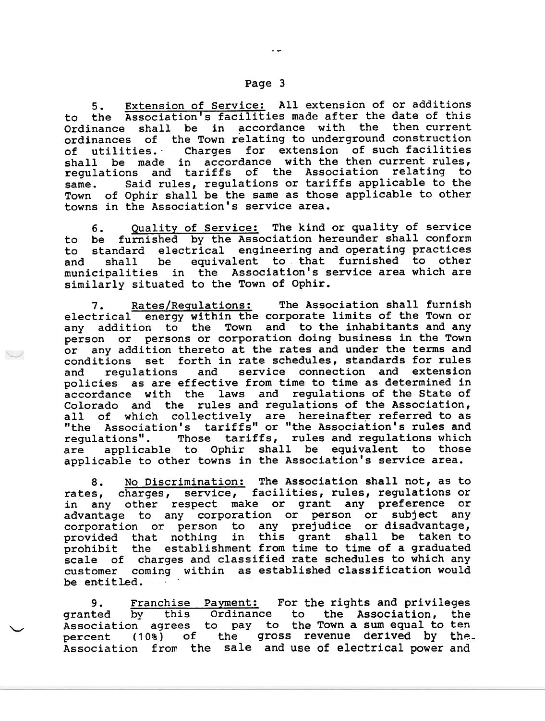## Page 3

5. Extension of Service: All extension of or additions to the Association's facilities made after the date of this Ordinance shall be in accordance with the then current ordinances of the Town relating to underground construction of utilities." Charges for extension of such facilities shall be made in accordance with the then current rule regulations and tariffs of the Association relating to same. Said rules, regulations or tariffs applicable to the Town of Ophir shall be the same as those applicable to other towns in the Association's service area.

6. Quality of Service: The kind or quality of service to be furnished by the Association hereunder shall conform to standard electrical engineering and operating practices and shall be equivalent to that furnished to other municipalities in the Association's service area which are similarly situated to the Town of Ophir.

7. Rates/Requlations: The Association shall furnish electrical energy within the corporate limits of the Town or any addition to the Town and to the inhabitants and any person or persons or corporation doing business in the Town or any addition thereto at the rates and under the terms and conditions set forth in rate schedules, standards for rules and regulations and service connection and extension policies as are effective from time to time as determined in accordance with the laws and regulations of the state of Colorado and the rules and regulations of the Association, all of which collectively are hereinafter referred to as "the Association's tariffs" or "the Association's rules and regulations". Those tariffs, rules and regulations which are applicable to Ophir shall be equivalent to those applicable to other towns in the Association's service area.

8. No Discrimination: The Association shall not, as to rates, charges, service, facilities, rules, regulations or in any other respect make or grant any preference or advantage to any corporation or person or subject any corporation or person to any prejudice or disadvantage, provided that nothing in this grant shall be taken to prohibit the establishment from time to time of a graduated scale of charges and classified rate schedules to which any customer coming within as established classification would be entitle

9. grante Associat: percent (10%) of the gross revenue derived by the Association from the sale and use of electrical power and Franchise Payment: For the rights and privile by this Ordinar agrees to pay the vertical systems of the group of the group.<br>
The percent (10%) of the group. to the Association, the the Town a sum equal to ter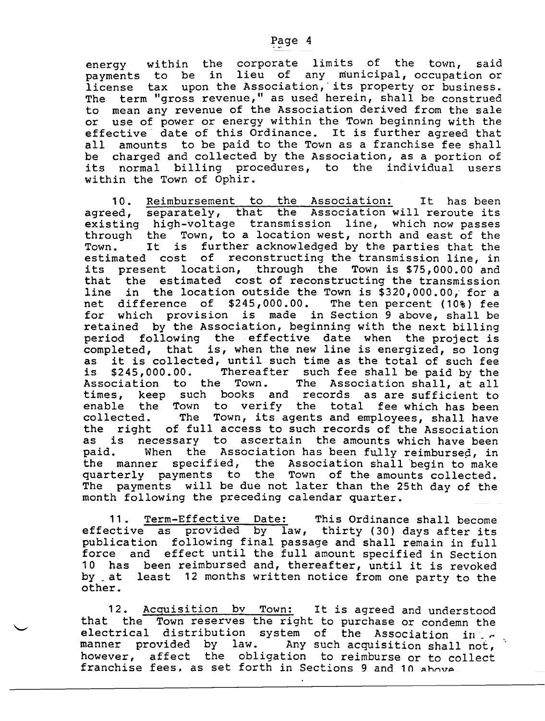payments to be in lieu of any municipal, occupation or license tax upon the Association, its property or busines The term "gross revenue," as used herein, shall be construed to mean any revenue of the Association derived from the sale or use of power or energy within the Town beginning with the effective" date of this Ordinance. It is further agreed that all amounts to be paid to the Town as a franchise fee shall be charged and collected by the Association, as a portion of its normal billing procedures, to the individual users within the Town of Ophir.

10. Reimbursement to the Association: It has been agreed, separately, that the Association will reroute it existing high-voltage transmission line, which now passes through the Town, to a location west, north and east of the Town. It is further acknowledged by the parties that the estimated cost of reconstructing the transmission line, in its present location, through the Town is \$75,000.00 and that the estimated cost of reconstructing the transmission line in the location outside the Town is \$320,000.00, for a net difference of \$245,000.00. The ten percent (10%) fee for which provision is made in Section 9 above, shall be retained by the Association, beginning with the next billing period following the effective date when the project is completed, that is, when the new line is energized, so long as it is collected, until such time as the total of such fee is \$245,000.00. Thereafter such fee shall be paid by the Association to the Town. The Association shall, at all times, keep such books and records as are sufficient to enable the Town to verify the total fee which has been collected. The Town, its agents and employees, shall have the right of full access to such records of the Association as is necessary to ascertain the amounts which have been paid. When the Association has been fully reimbursed, in the manner specified, the Association shall begin to make quarterly payments to the Town of the amounts collected. The payments will be due not later than the 25th day of the month following the preceding calendar quarter.

11. Term-Effective Date: This Ordinance shall become effective as provided by law, thirty (30) days after it publication following final passage and shall remain in full force and effect until the full amount specified in Section 10 has been reimbursed and, thereafter, until it is revoked by \_at least 12 months written notice from one party to the other.

12. Acquisition by Town: It is agreed and understood that the Town reserves the right to purchase or condemn the electrical distribution system of the Association in: , manner provided by law. Any such acquisition shall not, however, affect the obligation to reimburse or to collect franchise fees, as set forth in Sections 9 and 10 ahove.

, and the contract of the contract of the contract of the contract of the contract of the contract of the contract of the contract of the contract of the contract of the contract of the contract of the contract of the con